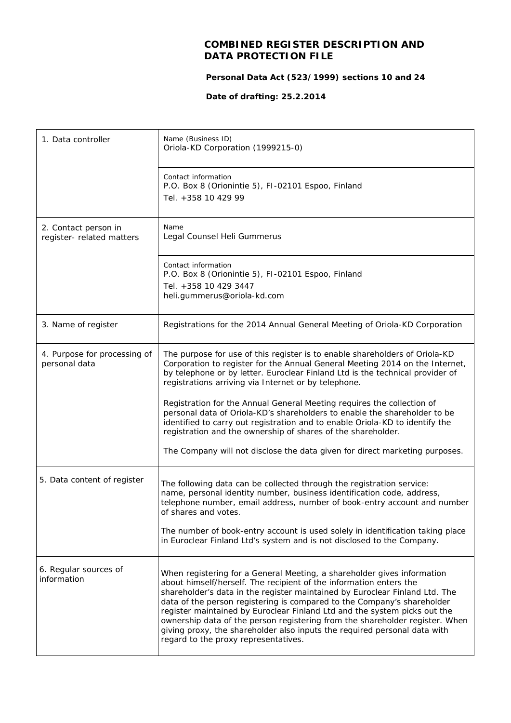## **COMBINED REGISTER DESCRIPTION AND DATA PROTECTION FILE**

 **Personal Data Act (523/1999) sections 10 and 24**

 **Date of drafting: 25.2.2014**

| 1. Data controller                                | Name (Business ID)<br>Oriola-KD Corporation (1999215-0)                                                                                                                                                                                                                                                                                                                                                                                                                                                                                                                                   |
|---------------------------------------------------|-------------------------------------------------------------------------------------------------------------------------------------------------------------------------------------------------------------------------------------------------------------------------------------------------------------------------------------------------------------------------------------------------------------------------------------------------------------------------------------------------------------------------------------------------------------------------------------------|
|                                                   | Contact information<br>P.O. Box 8 (Orionintie 5), FI-02101 Espoo, Finland<br>Tel. +358 10 429 99                                                                                                                                                                                                                                                                                                                                                                                                                                                                                          |
| 2. Contact person in<br>register- related matters | Name<br>Legal Counsel Heli Gummerus                                                                                                                                                                                                                                                                                                                                                                                                                                                                                                                                                       |
|                                                   | Contact information<br>P.O. Box 8 (Orionintie 5), FI-02101 Espoo, Finland<br>Tel. +358 10 429 3447<br>heli.gummerus@oriola-kd.com                                                                                                                                                                                                                                                                                                                                                                                                                                                         |
| 3. Name of register                               | Registrations for the 2014 Annual General Meeting of Oriola-KD Corporation                                                                                                                                                                                                                                                                                                                                                                                                                                                                                                                |
| 4. Purpose for processing of<br>personal data     | The purpose for use of this register is to enable shareholders of Oriola-KD<br>Corporation to register for the Annual General Meeting 2014 on the Internet,<br>by telephone or by letter. Euroclear Finland Ltd is the technical provider of<br>registrations arriving via Internet or by telephone.                                                                                                                                                                                                                                                                                      |
|                                                   | Registration for the Annual General Meeting requires the collection of<br>personal data of Oriola-KD's shareholders to enable the shareholder to be<br>identified to carry out registration and to enable Oriola-KD to identify the<br>registration and the ownership of shares of the shareholder.                                                                                                                                                                                                                                                                                       |
|                                                   | The Company will not disclose the data given for direct marketing purposes.                                                                                                                                                                                                                                                                                                                                                                                                                                                                                                               |
| 5. Data content of register                       | The following data can be collected through the registration service:<br>name, personal identity number, business identification code, address,<br>telephone number, email address, number of book-entry account and number<br>of shares and votes.                                                                                                                                                                                                                                                                                                                                       |
|                                                   | The number of book-entry account is used solely in identification taking place<br>in Euroclear Finland Ltd's system and is not disclosed to the Company.                                                                                                                                                                                                                                                                                                                                                                                                                                  |
| 6. Regular sources of<br>information              | When registering for a General Meeting, a shareholder gives information<br>about himself/herself. The recipient of the information enters the<br>shareholder's data in the register maintained by Euroclear Finland Ltd. The<br>data of the person registering is compared to the Company's shareholder<br>register maintained by Euroclear Finland Ltd and the system picks out the<br>ownership data of the person registering from the shareholder register. When<br>giving proxy, the shareholder also inputs the required personal data with<br>regard to the proxy representatives. |